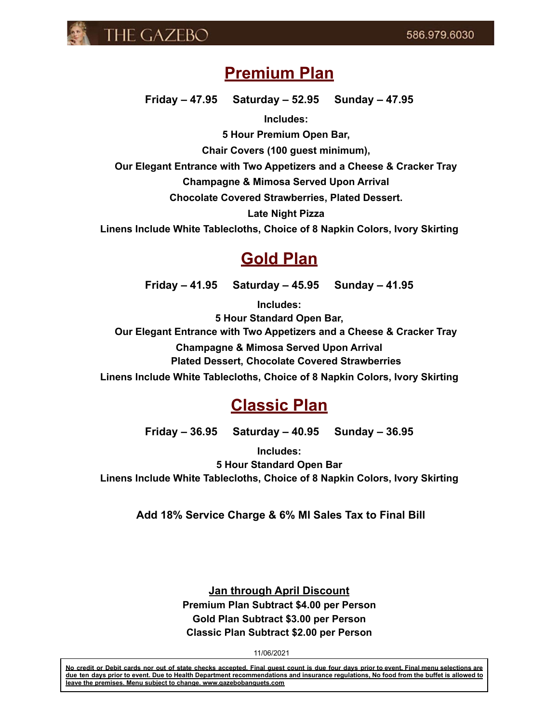

# **Premium Plan**

**Friday – 47.95 Saturday – 52.95 Sunday – 47.95**

**Includes:**

**5 Hour Premium Open Bar,**

**Chair Covers (100 guest minimum),**

**Our Elegant Entrance with Two Appetizers and a Cheese & Cracker Tray**

**Champagne & Mimosa Served Upon Arrival**

**Chocolate Covered Strawberries, Plated Dessert.**

**Late Night Pizza**

**Linens Include White Tablecloths, Choice of 8 Napkin Colors, Ivory Skirting**

# **Gold Plan**

**Friday – 41.95 Saturday – 45.95 Sunday – 41.95**

**Includes:**

**5 Hour Standard Open Bar, Our Elegant Entrance with Two Appetizers and a Cheese & Cracker Tray Champagne & Mimosa Served Upon Arrival Plated Dessert, Chocolate Covered Strawberries Linens Include White Tablecloths, Choice of 8 Napkin Colors, Ivory Skirting**

# **Classic Plan**

**Friday – 36.95 Saturday – 40.95 Sunday – 36.95**

**Includes: 5 Hour Standard Open Bar Linens Include White Tablecloths, Choice of 8 Napkin Colors, Ivory Skirting**

**Add 18% Service Charge & 6% MI Sales Tax to Final Bill**

**Jan through April Discount Premium Plan Subtract \$4.00 per Person Gold Plan Subtract \$3.00 per Person Classic Plan Subtract \$2.00 per Person**

11/06/2021

No credit or Debit cards nor out of state checks accepted. Final quest count is due four days prior to event. Final menu selections are due ten days prior to event. Due to Health Department recommendations and insurance regulations, No food from the buffet is allowed to **leave the premises. Menu subject to change. www.gazebobanquets.com**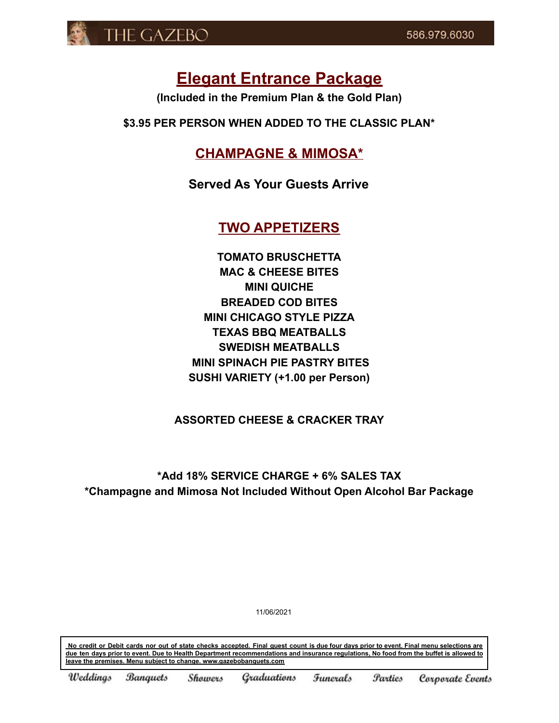

# **Elegant Entrance Package**

**(Included in the Premium Plan & the Gold Plan)**

**\$3.95 PER PERSON WHEN ADDED TO THE CLASSIC PLAN\***

## **CHAMPAGNE & MIMOSA\***

**Served As Your Guests Arrive**

## **TWO APPETIZERS**

**TOMATO BRUSCHETTA MAC & CHEESE BITES MINI QUICHE BREADED COD BITES MINI CHICAGO STYLE PIZZA TEXAS BBQ MEATBALLS SWEDISH MEATBALLS MINI SPINACH PIE PASTRY BITES SUSHI VARIETY (+1.00 per Person)**

### **ASSORTED CHEESE & CRACKER TRAY**

## **\*Add 18% SERVICE CHARGE + 6% SALES TAX \*Champagne and Mimosa Not Included Without Open Alcohol Bar Package**

11/06/2021

No credit or Debit cards nor out of state checks accepted. Final quest count is due four days prior to event. Final menu selections are due ten days prior to event. Due to Health Department recommendations and insurance regulations, No food from the buffet is allowed to **leave the premises. Menu subject to change. www.gazebobanquets.com**

Weddings **Banquets** Showers Graduations Funerals *<u>Parties</u>* Corporate Events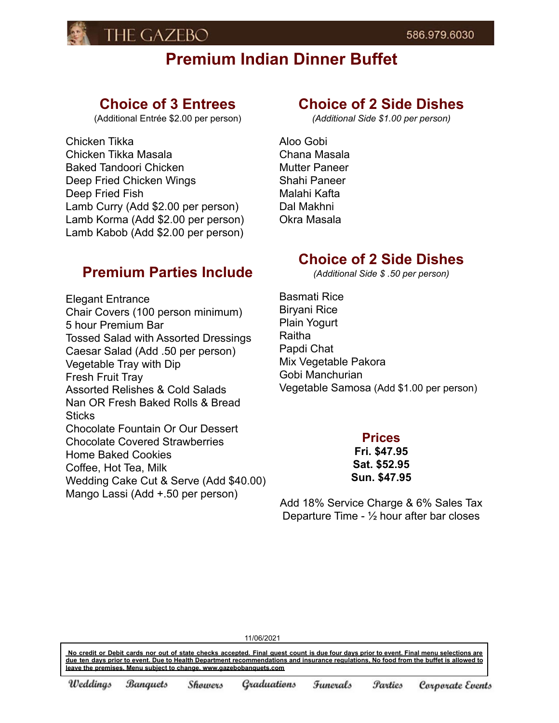

# **Premium Indian Dinner Buffet**

## **Choice of 3 Entrees**

(Additional Entrée \$2.00 per person)

Chicken Tikka Chicken Tikka Masala Baked Tandoori Chicken Deep Fried Chicken Wings Deep Fried Fish Lamb Curry (Add \$2.00 per person) Lamb Korma (Add \$2.00 per person) Lamb Kabob (Add \$2.00 per person)

## **Premium Parties Include**

Elegant Entrance Chair Covers (100 person minimum) 5 hour Premium Bar Tossed Salad with Assorted Dressings Caesar Salad (Add .50 per person) Vegetable Tray with Dip Fresh Fruit Tray Assorted Relishes & Cold Salads Nan OR Fresh Baked Rolls & Bread **Sticks** Chocolate Fountain Or Our Dessert Chocolate Covered Strawberries Home Baked Cookies Coffee, Hot Tea, Milk Wedding Cake Cut & Serve (Add \$40.00) Mango Lassi (Add +.50 per person)

## **Choice of 2 Side Dishes**

*(Additional Side \$1.00 per person)*

Aloo Gobi Chana Masala Mutter Paneer Shahi Paneer Malahi Kafta Dal Makhni Okra Masala

## **Choice of 2 Side Dishes**

*(Additional Side \$ .50 per person)*

Basmati Rice Biryani Rice Plain Yogurt Raitha Papdi Chat Mix Vegetable Pakora Gobi Manchurian Vegetable Samosa (Add \$1.00 per person)

### **Prices**

**Fri. \$47.95 Sat. \$52.95 Sun. \$47.95**

Add 18% Service Charge & 6% Sales Tax Departure Time -  $\frac{1}{2}$  hour after bar closes

11/06/2021

No credit or Debit cards nor out of state checks accepted. Final quest count is due four days prior to event. Final menu selections are due ten days prior to event. Due to Health Department recommendations and insurance regulations. No food from the buffet is allowed to **leave the premises. Menu subject to change. www.gazebobanquets.com**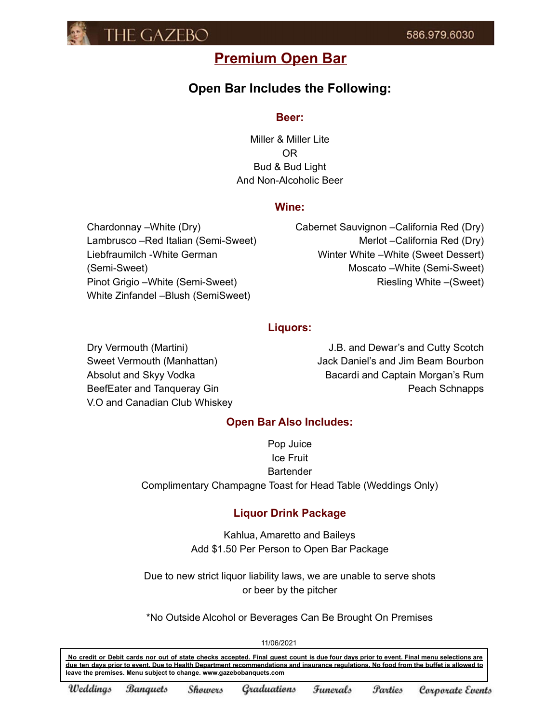

## **Premium Open Bar**

## **Open Bar Includes the Following:**

#### **Beer:**

Miller & Miller Lite OR Bud & Bud Light And Non-Alcoholic Beer

#### **Wine:**

Chardonnay –White (Dry) Lambrusco –Red Italian (Semi-Sweet) Liebfraumilch -White German (Semi-Sweet) Pinot Grigio –White (Semi-Sweet) White Zinfandel –Blush (SemiSweet)

Cabernet Sauvignon –California Red (Dry) Merlot –California Red (Dry) Winter White –White (Sweet Dessert) Moscato –White (Semi-Sweet) Riesling White –(Sweet)

### **Liquors:**

Dry Vermouth (Martini) Sweet Vermouth (Manhattan) Absolut and Skyy Vodka BeefEater and Tanqueray Gin V.O and Canadian Club Whiskey

J.B. and Dewar's and Cutty Scotch Jack Daniel's and Jim Beam Bourbon Bacardi and Captain Morgan's Rum Peach Schnapps

### **Open Bar Also Includes:**

Pop Juice Ice Fruit **Bartender** Complimentary Champagne Toast for Head Table (Weddings Only)

### **Liquor Drink Package**

Kahlua, Amaretto and Baileys Add \$1.50 Per Person to Open Bar Package

Due to new strict liquor liability laws, we are unable to serve shots or beer by the pitcher

\*No Outside Alcohol or Beverages Can Be Brought On Premises

11/06/2021

No credit or Debit cards nor out of state checks accepted. Final guest count is due four days prior to event. Final menu selections are due ten days prior to event. Due to Health Department recommendations and insurance regulations. No food from the buffet is allowed to **leave the premises. Menu subject to change. www.gazebobanquets.com**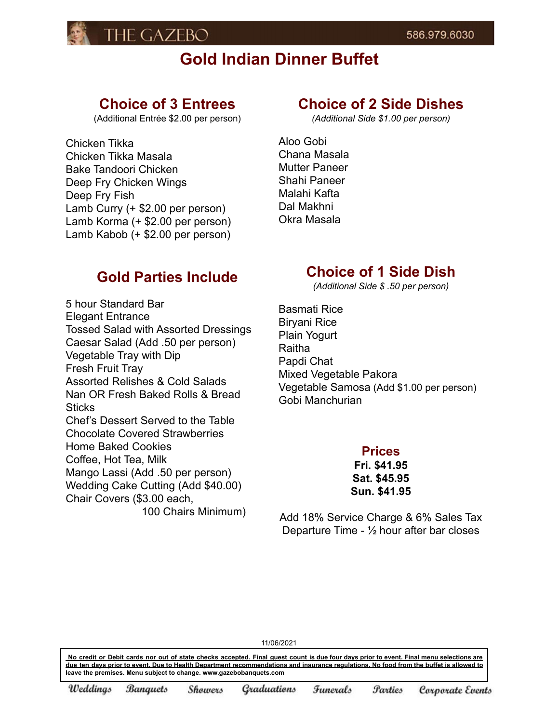

# **Gold Indian Dinner Buffet**

## **Choice of 3 Entrees**

(Additional Entrée \$2.00 per person)

Chicken Tikka Chicken Tikka Masala Bake Tandoori Chicken Deep Fry Chicken Wings Deep Fry Fish Lamb Curry (+ \$2.00 per person) Lamb Korma (+ \$2.00 per person) Lamb Kabob (+ \$2.00 per person)

# **Choice of 2 Side Dishes**

*(Additional Side \$1.00 per person)*

Aloo Gobi Chana Masala Mutter Paneer Shahi Paneer Malahi Kafta Dal Makhni Okra Masala

## **Gold Parties Include**

5 hour Standard Bar Elegant Entrance Tossed Salad with Assorted Dressings Caesar Salad (Add .50 per person) Vegetable Tray with Dip Fresh Fruit Tray Assorted Relishes & Cold Salads Nan OR Fresh Baked Rolls & Bread **Sticks** Chef's Dessert Served to the Table Chocolate Covered Strawberries Home Baked Cookies Coffee, Hot Tea, Milk Mango Lassi (Add .50 per person) Wedding Cake Cutting (Add \$40.00) Chair Covers (\$3.00 each, 100 Chairs Minimum)

## **Choice of 1 Side Dish**

*(Additional Side \$ .50 per person)*

Basmati Rice Biryani Rice Plain Yogurt Raitha Papdi Chat Mixed Vegetable Pakora Vegetable Samosa (Add \$1.00 per person) Gobi Manchurian

### **Prices**

**Fri. \$41.95 Sat. \$45.95 Sun. \$41.95**

Add 18% Service Charge & 6% Sales Tax Departure Time - ½ hour after bar closes

11/06/2021

No credit or Debit cards nor out of state checks accepted. Final guest count is due four days prior to event. Final menu selections are due ten days prior to event. Due to Health Department recommendations and insurance regulations. No food from the buffet is allowed to **leave the premises. Menu subject to change. www.gazebobanquets.com**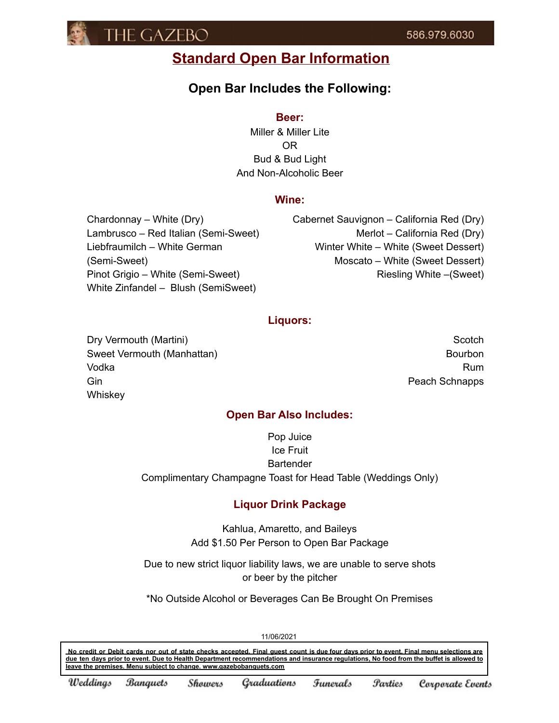

# **Standard Open Bar Information**

## **Open Bar Includes the Following:**

#### **Beer:**

Miller & Miller Lite OR Bud & Bud Light And Non-Alcoholic Beer

### **Wine:**

Chardonnay – White (Dry) Lambrusco – Red Italian (Semi-Sweet) Liebfraumilch – White German (Semi-Sweet) Pinot Grigio – White (Semi-Sweet) White Zinfandel – Blush (SemiSweet)

Cabernet Sauvignon – California Red (Dry) Merlot – California Red (Dry) Winter White – White (Sweet Dessert) Moscato – White (Sweet Dessert) Riesling White –(Sweet)

### **Liquors:**

Dry Vermouth (Martini) Sweet Vermouth (Manhattan) Vodka Gin **Whiskey** 

**Scotch** Bourbon Rum Peach Schnapps

### **Open Bar Also Includes:**

Pop Juice Ice Fruit **Bartender** Complimentary Champagne Toast for Head Table (Weddings Only)

### **Liquor Drink Package**

Kahlua, Amaretto, and Baileys Add \$1.50 Per Person to Open Bar Package

Due to new strict liquor liability laws, we are unable to serve shots or beer by the pitcher

\*No Outside Alcohol or Beverages Can Be Brought On Premises

11/06/2021

No credit or Debit cards nor out of state checks accepted. Final quest count is due four days prior to event. Final menu selections are due ten days prior to event. Due to Health Department recommendations and insurance regulations, No food from the buffet is allowed to **leave the premises. Menu subject to change. www.gazebobanquets.com**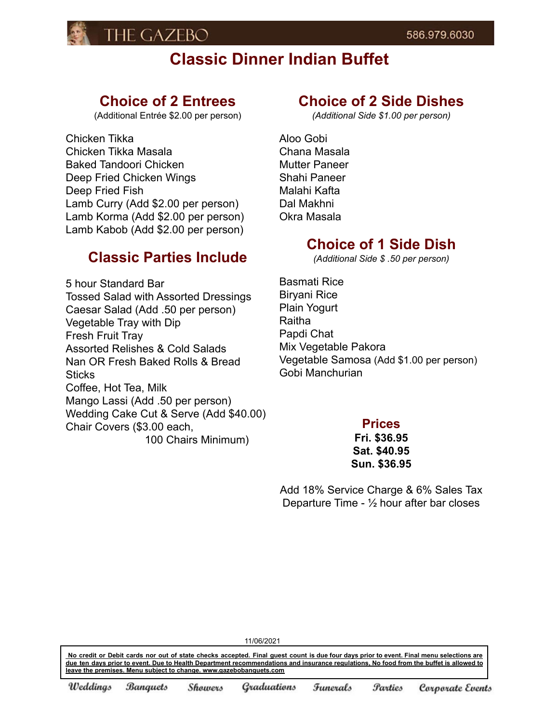

# **Classic Dinner Indian Buffet**

## **Choice of 2 Entrees**

(Additional Entrée \$2.00 per person)

Chicken Tikka Chicken Tikka Masala Baked Tandoori Chicken Deep Fried Chicken Wings Deep Fried Fish Lamb Curry (Add \$2.00 per person) Lamb Korma (Add \$2.00 per person) Lamb Kabob (Add \$2.00 per person)

## **Classic Parties Include**

5 hour Standard Bar Tossed Salad with Assorted Dressings Caesar Salad (Add .50 per person) Vegetable Tray with Dip Fresh Fruit Tray Assorted Relishes & Cold Salads Nan OR Fresh Baked Rolls & Bread **Sticks** Coffee, Hot Tea, Milk Mango Lassi (Add .50 per person) Wedding Cake Cut & Serve (Add \$40.00) Chair Covers (\$3.00 each,

100 Chairs Minimum)

## **Choice of 2 Side Dishes**

*(Additional Side \$1.00 per person)*

Aloo Gobi Chana Masala Mutter Paneer Shahi Paneer Malahi Kafta Dal Makhni Okra Masala

## **Choice of 1 Side Dish**

*(Additional Side \$ .50 per person)*

Basmati Rice Biryani Rice Plain Yogurt Raitha Papdi Chat Mix Vegetable Pakora Vegetable Samosa (Add \$1.00 per person) Gobi Manchurian

### **Prices**

**Fri. \$36.95 Sat. \$40.95 Sun. \$36.95**

Add 18% Service Charge & 6% Sales Tax Departure Time - ½ hour after bar closes

No credit or Debit cards nor out of state checks accepted. Final quest count is due four days prior to event. Final menu selections are due ten days prior to event. Due to Health Department recommendations and insurance regulations. No food from the buffet is allowed to **leave the premises. Menu subject to change. www.gazebobanquets.com**

11/06/2021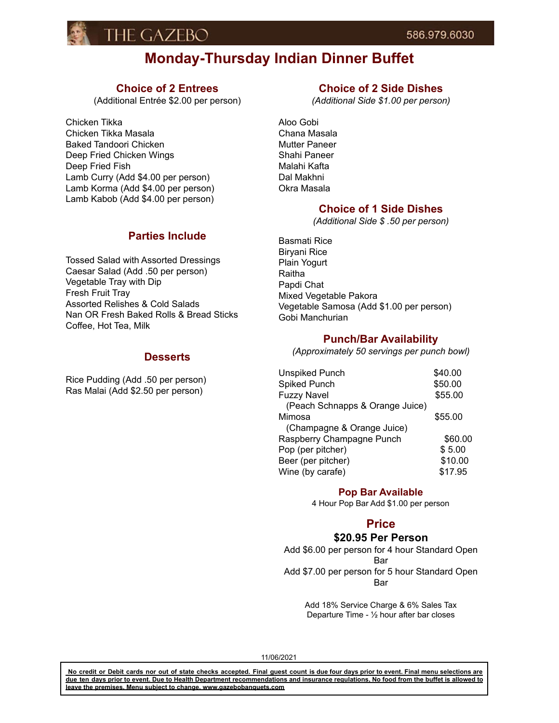

## **Monday-Thursday Indian Dinner Buffet**

### **Choice of 2 Entrees**

(Additional Entrée \$2.00 per person)

Chicken Tikka Chicken Tikka Masala Baked Tandoori Chicken Deep Fried Chicken Wings Deep Fried Fish Lamb Curry (Add \$4.00 per person) Lamb Korma (Add \$4.00 per person) Lamb Kabob (Add \$4.00 per person)

#### **Parties Include**

Tossed Salad with Assorted Dressings Caesar Salad (Add .50 per person) Vegetable Tray with Dip Fresh Fruit Tray Assorted Relishes & Cold Salads Nan OR Fresh Baked Rolls & Bread Sticks Coffee, Hot Tea, Milk

#### **Desserts**

Rice Pudding (Add .50 per person) Ras Malai (Add \$2.50 per person)

### **Choice of 2 Side Dishes**

*(Additional Side \$1.00 per person)*

Aloo Gobi Chana Masala Mutter Paneer Shahi Paneer Malahi Kafta Dal Makhni Okra Masala

#### **Choice of 1 Side Dishes**

*(Additional Side \$ .50 per person)*

Basmati Rice Biryani Rice Plain Yogurt Raitha Papdi Chat Mixed Vegetable Pakora Vegetable Samosa (Add \$1.00 per person) Gobi Manchurian

#### **Punch/Bar Availability**

*(Approximately 50 servings per punch bowl)*

| <b>Unspiked Punch</b>           | \$40.00 |
|---------------------------------|---------|
| <b>Spiked Punch</b>             | \$50.00 |
| <b>Fuzzy Navel</b>              | \$55.00 |
| (Peach Schnapps & Orange Juice) |         |
| Mimosa                          | \$55.00 |
| (Champagne & Orange Juice)      |         |
| Raspberry Champagne Punch       | \$60.00 |
| Pop (per pitcher)               | \$5.00  |
| Beer (per pitcher)              | \$10.00 |
| Wine (by carafe)                | \$17.95 |

#### **Pop Bar Available**

4 Hour Pop Bar Add \$1.00 per person

### **Price**

#### **\$20.95 Per Person**

Add \$6.00 per person for 4 hour Standard Open Bar Add \$7.00 per person for 5 hour Standard Open Bar

> Add 18% Service Charge & 6% Sales Tax Departure Time - ½ hour after bar closes

11/06/2021

No credit or Debit cards nor out of state checks accepted. Final quest count is due four days prior to event. Final menu selections are due ten days prior to event. Due to Health Department recommendations and insurance regulations. No food from the buffet is allowed to **leave the premises. Menu subject to change. www.gazebobanquets.com**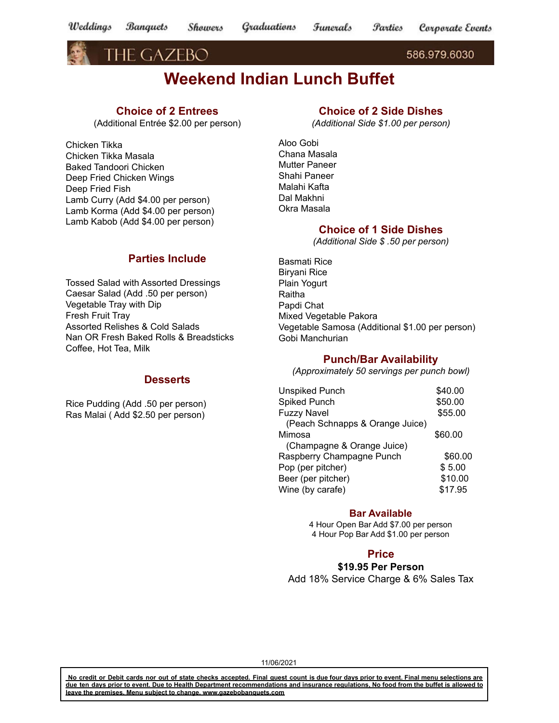THE GAZEBO

586.979.6030

# **Weekend Indian Lunch Buffet**

### **Choice of 2 Entrees**

(Additional Entrée \$2.00 per person)

Chicken Tikka Chicken Tikka Masala Baked Tandoori Chicken Deep Fried Chicken Wings Deep Fried Fish Lamb Curry (Add \$4.00 per person) Lamb Korma (Add \$4.00 per person) Lamb Kabob (Add \$4.00 per person)

### **Parties Include**

Tossed Salad with Assorted Dressings Caesar Salad (Add .50 per person) Vegetable Tray with Dip Fresh Fruit Tray Assorted Relishes & Cold Salads Nan OR Fresh Baked Rolls & Breadsticks Coffee, Hot Tea, Milk

#### **Desserts**

Rice Pudding (Add .50 per person) Ras Malai ( Add \$2.50 per person)

### **Choice of 2 Side Dishes**

*(Additional Side \$1.00 per person)*

Aloo Gobi Chana Masala Mutter Paneer Shahi Paneer Malahi Kafta Dal Makhni Okra Masala

#### **Choice of 1 Side Dishes**

*(Additional Side \$ .50 per person)*

Basmati Rice Biryani Rice Plain Yogurt Raitha Papdi Chat Mixed Vegetable Pakora Vegetable Samosa (Additional \$1.00 per person) Gobi Manchurian

#### **Punch/Bar Availability**

*(Approximately 50 servings per punch bowl)*

| <b>Unspiked Punch</b>           | \$40.00 |
|---------------------------------|---------|
| Spiked Punch                    | \$50.00 |
| <b>Fuzzy Navel</b>              | \$55.00 |
| (Peach Schnapps & Orange Juice) |         |
| Mimosa                          | \$60.00 |
| (Champagne & Orange Juice)      |         |
| Raspberry Champagne Punch       | \$60.00 |
| Pop (per pitcher)               | \$5.00  |
| Beer (per pitcher)              | \$10.00 |
| Wine (by carafe)                | \$17.95 |

#### **Bar Available**

4 Hour Open Bar Add \$7.00 per person 4 Hour Pop Bar Add \$1.00 per person

#### **Price**

**\$19.95 Per Person** Add 18% Service Charge & 6% Sales Tax

11/06/2021

No credit or Debit cards nor out of state checks accepted. Final guest count is due four days prior to event. Final menu selections are due ten days prior to event. Due to Health Department recommendations and insurance regulations. No food from the buffet is allowed to **leave the premises. Menu subject to change. www.gazebobanquets.com**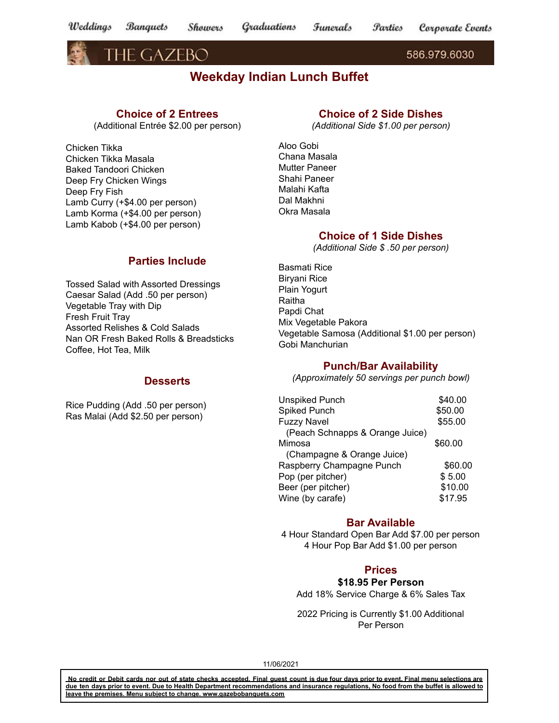Weddings Graduations **Banquets** Showers Funerals *<u>Parties</u>* Corporate Events

THE GAZEBO

586.979.6030

## **Weekday Indian Lunch Buffet**

### **Choice of 2 Entrees**

(Additional Entrée \$2.00 per person)

Chicken Tikka Chicken Tikka Masala Baked Tandoori Chicken Deep Fry Chicken Wings Deep Fry Fish Lamb Curry (+\$4.00 per person) Lamb Korma (+\$4.00 per person) Lamb Kabob (+\$4.00 per person)

### **Choice of 2 Side Dishes**

*(Additional Side \$1.00 per person)*

Aloo Gobi Chana Masala Mutter Paneer Shahi Paneer Malahi Kafta Dal Makhni Okra Masala

### **Choice of 1 Side Dishes**

*(Additional Side \$ .50 per person)*

### **Parties Include**

Tossed Salad with Assorted Dressings Caesar Salad (Add .50 per person) Vegetable Tray with Dip Fresh Fruit Tray Assorted Relishes & Cold Salads Nan OR Fresh Baked Rolls & Breadsticks Coffee, Hot Tea, Milk

#### **Desserts**

Rice Pudding (Add .50 per person) Ras Malai (Add \$2.50 per person)

Basmati Rice Biryani Rice Plain Yogurt Raitha Papdi Chat Mix Vegetable Pakora Vegetable Samosa (Additional \$1.00 per person) Gobi Manchurian

### **Punch/Bar Availability**

*(Approximately 50 servings per punch bowl)*

| <b>Unspiked Punch</b>           | \$40.00 |
|---------------------------------|---------|
| <b>Spiked Punch</b>             | \$50.00 |
| <b>Fuzzy Navel</b>              | \$55.00 |
| (Peach Schnapps & Orange Juice) |         |
| Mimosa                          | \$60.00 |
| (Champagne & Orange Juice)      |         |
| Raspberry Champagne Punch       | \$60.00 |
| Pop (per pitcher)               | \$5.00  |
| Beer (per pitcher)              | \$10.00 |
| Wine (by carafe)                | \$17.95 |

#### **Bar Available**

4 Hour Standard Open Bar Add \$7.00 per person 4 Hour Pop Bar Add \$1.00 per person

### **Prices**

### **\$18.95 Per Person**

Add 18% Service Charge & 6% Sales Tax

2022 Pricing is Currently \$1.00 Additional Per Person

11/06/2021

No credit or Debit cards nor out of state checks accepted. Final guest count is due four days prior to event. Final menu selections are due ten days prior to event. Due to Health Department recommendations and insurance regulations, No food from the buffet is allowed to **leave the premises. Menu subject to change. www.gazebobanquets.com**